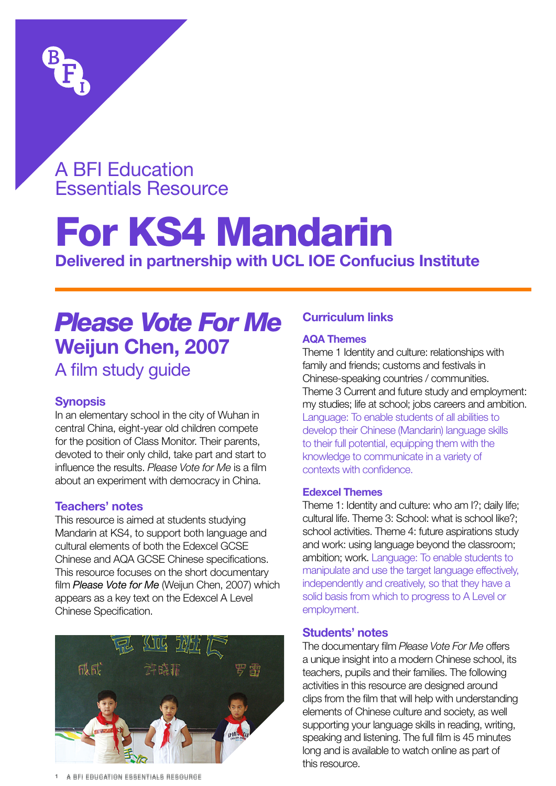

A BFI Education Essentials Resource

## For KS4 Mandarin Delivered in partnership with UCL IOE Confucius Institute

## *Please Vote For Me* Weijun Chen, 2007 A film study guide

## **Synopsis**

In an elementary school in the city of Wuhan in central China, eight-year old children compete for the position of Class Monitor. Their parents, devoted to their only child, take part and start to influence the results. *Please Vote for Me* is a film about an experiment with democracy in China.

## Teachers' notes

This resource is aimed at students studying Mandarin at KS4, to support both language and cultural elements of both the Edexcel GCSE Chinese and AQA GCSE Chinese specifications. This resource focuses on the short documentary film *Please Vote for Me* (Weijun Chen, 2007) which appears as a key text on the Edexcel A Level Chinese Specification.



1 A BFI EDUCATION ESSENTIALS RESOURCE A BFI EDUCATION ESSENTIALS RESOURCE

## Curriculum links

## AQA Themes

Theme 1 Identity and culture: relationships with family and friends; customs and festivals in Chinese-speaking countries / communities. Theme 3 Current and future study and employment: my studies; life at school; jobs careers and ambition. Language: To enable students of all abilities to develop their Chinese (Mandarin) language skills to their full potential, equipping them with the knowledge to communicate in a variety of contexts with confidence.

## Edexcel Themes

Theme 1: Identity and culture: who am I?; daily life; cultural life. Theme 3: School: what is school like?; school activities. Theme 4: future aspirations study and work: using language beyond the classroom; ambition; work. Language: To enable students to manipulate and use the target language effectively, independently and creatively, so that they have a solid basis from which to progress to A Level or employment.

## Students' notes

The documentary film *Please Vote For Me* offers a unique insight into a modern Chinese school, its teachers, pupils and their families. The following activities in this resource are designed around clips from the film that will help with understanding elements of Chinese culture and society, as well supporting your language skills in reading, writing, speaking and listening. The full film is 45 minutes long and is available to watch online as part of this resource.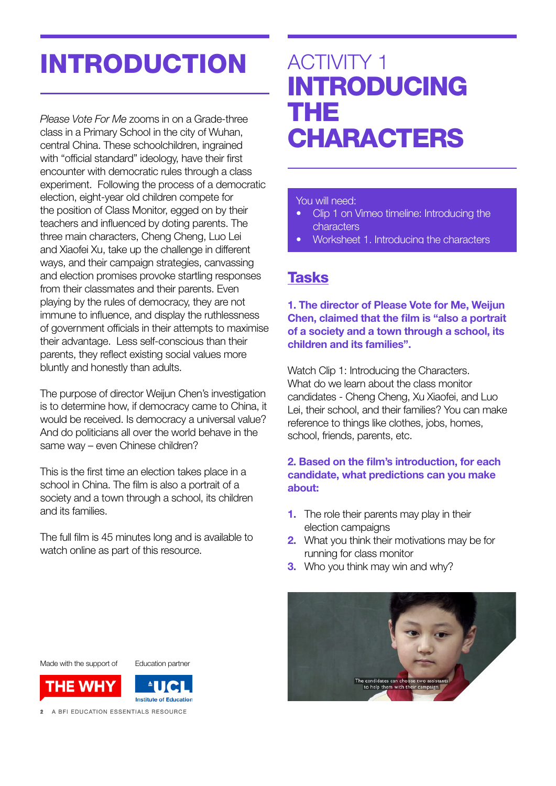# INTRODUCTION

*Please Vote For Me* zooms in on a Grade-three class in a Primary School in the city of Wuhan, central China. These schoolchildren, ingrained with "official standard" ideology, have their first encounter with democratic rules through a class experiment. Following the process of a democratic election, eight-year old children compete for the position of Class Monitor, egged on by their teachers and influenced by doting parents. The three main characters, Cheng Cheng, Luo Lei and Xiaofei Xu, take up the challenge in different ways, and their campaign strategies, canvassing and election promises provoke startling responses from their classmates and their parents. Even playing by the rules of democracy, they are not immune to influence, and display the ruthlessness of government officials in their attempts to maximise their advantage. Less self-conscious than their parents, they reflect existing social values more bluntly and honestly than adults.

The purpose of director Weijun Chen's investigation is to determine how, if democracy came to China, it would be received. Is democracy a universal value? And do politicians all over the world behave in the same way – even Chinese children?

This is the first time an election takes place in a school in China. The film is also a portrait of a society and a town through a school, its children and its families.

The full film is 45 minutes long and is available to watch online as part of this resource.

## ACTIVITY 1 INTRODUCING THE **CHARACTERS**

You will need:

- Clip 1 on Vimeo timeline: Introducing the characters
- Worksheet 1. Introducing the characters

## **Tasks**

1. The director of Please Vote for Me, Weijun Chen, claimed that the film is "also a portrait of a society and a town through a school, its children and its families".

Watch Clip 1: Introducing the Characters. What do we learn about the class monitor candidates - Cheng Cheng, Xu Xiaofei, and Luo Lei, their school, and their families? You can make reference to things like clothes, jobs, homes, school, friends, parents, etc.

## 2. Based on the film's introduction, for each candidate, what predictions can you make about:

- **1.** The role their parents may play in their election campaigns
- 2. What you think their motivations may be for running for class monitor
- **3.** Who you think may win and why?



Made with the support of

'HE WHY





21 A BFI EDUCATION ESSENTIALS RESOURCE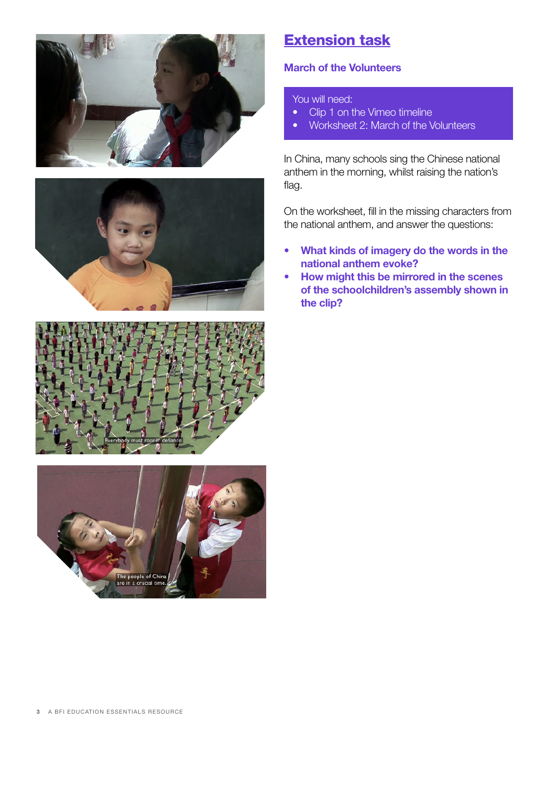







## Extension task

## March of the Volunteers

You will need:

- Clip 1 on the Vimeo timeline
- Worksheet 2: March of the Volunteers

In China, many schools sing the Chinese national anthem in the morning, whilst raising the nation's flag.

On the worksheet, fill in the missing characters from the national anthem, and answer the questions:

- What kinds of imagery do the words in the national anthem evoke?
- How might this be mirrored in the scenes of the schoolchildren's assembly shown in the clip?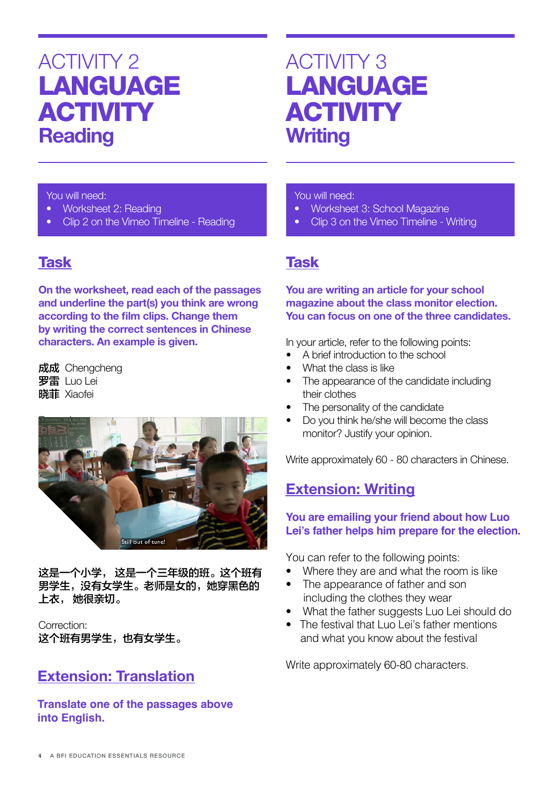## ACTIVITY 2 LANGUAGE **ACTIVITY Reading** <u>ACTIVITY</u>

## ACTIVITY 3 **LANGUAGE ACTIVITY Writing** <u>ACTIVITY</u>

## You will need: Reading

You will need:

- Worksheet 2: Reading
- Clip 2 on the Vimeo Timeline Reading

#### Task • Worksheet 2: Reading  $\overline{\text{c}}$  and  $\overline{\text{c}}$  on the Vimeo Timeline - Reading  $\overline{\text{c}}$

On the worksheet, read each of the passages and underline the part(s) you think are wrong<br>cases which the film aline. Change them according to the film clips. Change them by writing the correct sentences in Chinese characters. An example is given.

成成 Chengcheng 罗雷 Luo Lei<br>Estis vicinis given. 晓菲 Xiaofei  $\frac{1}{2}$  and film clips. Change them corrected them corrected them corrected them contains them corrected them contains the matrix of the change of the change of the change of the change of the change of the change of th  $\frac{1}{2}$ 



这是一个小学, 这是一个三年级的班。这个班有 男学生,没有女学生。老师是女的,她穿黑色的 上衣, 她很亲切。

Correction: 这个班有男学生,也有女学生。  $\alpha$ VONCUNO.<br>'<del>\*</del> A <del>MT Z O 24 H = 14 Z L 24 H =</del> 01 卯日<del>カナエ</del>,

### Correction: <u>Extension: Translation</u>

41 A BFI EDUCATION ESSENTIALS RESOURCE **into English. Translate one of the passages above** 

## You will need: Writing

You will need:

- Worksheet 3: School Magazine
- Clip 3 on the Vimeo Timeline Writing

#### Task • Worksheet 3: School Magazine  $\overline{\text{ask}}$

You are writing an article for your school magazine about the class monitor election.<br>You can facus an ana of the three condidate You can focus on one of the three candidates.

In your article, refer to the following points: You are writing an article for your school  $\frac{1}{2}$  m you are lot the class monotoning points.

- A brief introduction to the school
- What the class is like
- The appearance of the candidate including their clothes effer ciones<br>Film to the school to the school to the school to the school to the school to the school to the school to the s
- The personality of the candidate • The person latity of the  $\sim$
- Do you think he/she will become the class monitor? Justify your opinion.

Write approximately 60 - 80 characters in Chinese.  $\frac{1}{2}$  $\frac{1}{2}$  application that the control becomes the class of the control  $\frac{1}{2}$ 

### monitor? Justify your opinion. **Extension: Writing**

## **You are emailing your friend about how Luo Lei's father helps him prepare for the election.**

You can refer to the following points:

- Where they are and what the room is like
- The appearance of father and son including the clothes they wear
- What the father suggests Luo Lei should do
- The festival that Luo Lei's father mentions and what you know about the festival

Write approximately 60-80 characters.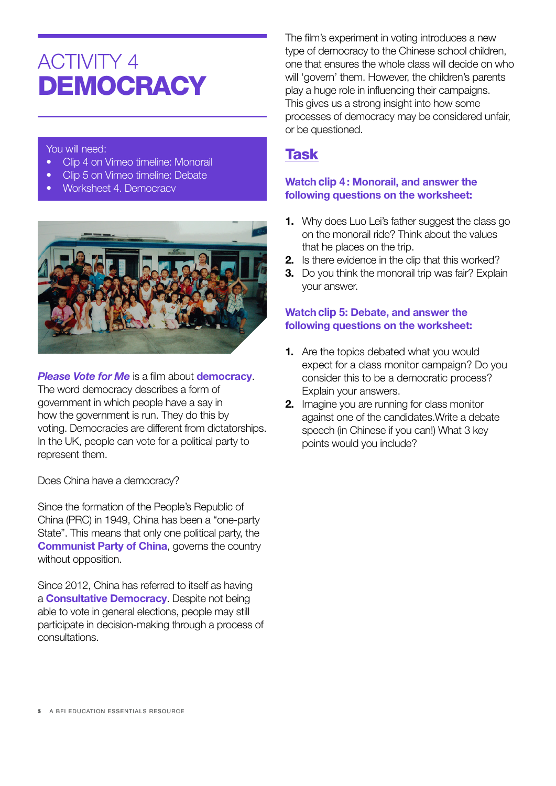## ACTIVITY 4 **DEMOCRACY**

You will need:

- Clip 4 on Vimeo timeline: Monorail
- Clip 5 on Vimeo timeline: Debate
- Worksheet 4. Democracy



*Please Vote for Me* is a film about **democracy**.

The word democracy describes a form of government in which people have a say in how the government is run. They do this by voting. Democracies are different from dictatorships. In the UK, people can vote for a political party to represent them.

Does China have a democracy?

Since the formation of the People's Republic of China (PRC) in 1949, China has been a "one-party State". This means that only one political party, the Communist Party of China, governs the country without opposition.

Since 2012, China has referred to itself as having a **Consultative Democracy**. Despite not being able to vote in general elections, people may still participate in decision-making through a process of consultations.

The film's experiment in voting introduces a new type of democracy to the Chinese school children, one that ensures the whole class will decide on who will 'govern' them. However, the children's parents play a huge role in influencing their campaigns. This gives us a strong insight into how some processes of democracy may be considered unfair, or be questioned.

## Task

### Watch clip 4: Monorail, and answer the following questions on the worksheet:

- **1.** Why does Luo Lei's father suggest the class go on the monorail ride? Think about the values that he places on the trip.
- 2. Is there evidence in the clip that this worked?
- **3.** Do you think the monorail trip was fair? Explain your answer.

## Watch clip 3: Debate, and answer the **clip 5** following questions on the worksheet:

- 1. Are the topics debated what you would expect for a class monitor campaign? Do you consider this to be a democratic process? Explain your answers.
- 2. Imagine you are running for class monitor against one of the candidates.Write a debate speech (in Chinese if you can!) What 3 key points would you include?